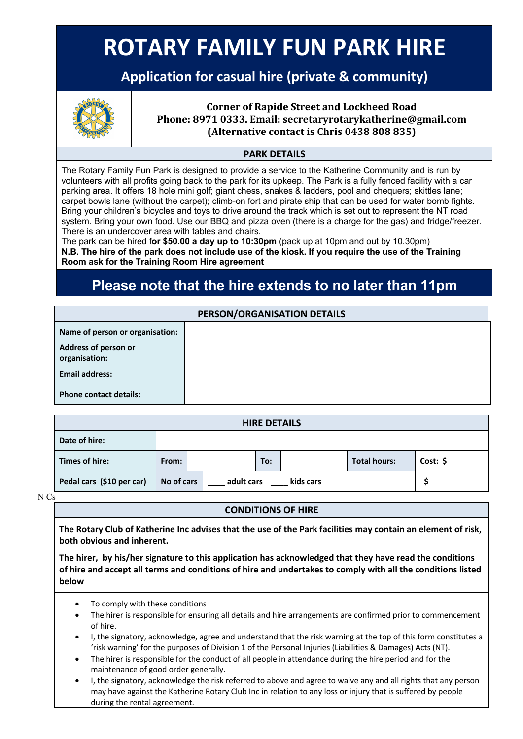# **ROTARY FAMILY FUN PARK HIRE**

## **Application for casual hire (private & community)**



Corner of Rapide Street and Lockheed Road<br>Phone: 8971 0333. Email: secretaryrotarykatherine@<br>(Alternative contact is Chris 0438 808 835) **Phone: 8971 0333. Email: secretaryrotarykatherine@gmail.com (Alternative contact is Chris 0438 808 835)**

### **PARK DETAILS**

The Rotary Family Fun Park is designed to provide a service to the Katherine Community and is run by volunteers with all profits going back to the park for its upkeep. The Park is a fully fenced facility with a car parking area. It offers 18 hole mini golf; giant chess, snakes & ladders, pool and chequers; skittles lane; carpet bowls lane (without the carpet); climb-on fort and pirate ship that can be used for water bomb fights. Bring your children's bicycles and toys to drive around the track which is set out to represent the NT road system. Bring your own food. Use our BBQ and pizza oven (there is a charge for the gas) and fridge/freezer. There is an undercover area with tables and chairs.

The park can be hired f**or \$50.00 a day up to 10:30pm** (pack up at 10pm and out by 10.30pm) **N.B. The hire of the park does not include use of the kiosk. If you require the use of the Training Room ask for the Training Room Hire agreement**

## **Please note that the hire extends to no later than 11pm**

| PERSON/ORGANISATION DETAILS           |  |  |  |  |  |
|---------------------------------------|--|--|--|--|--|
| Name of person or organisation:       |  |  |  |  |  |
| Address of person or<br>organisation: |  |  |  |  |  |
| <b>Email address:</b>                 |  |  |  |  |  |
| <b>Phone contact details:</b>         |  |  |  |  |  |

| <b>HIRE DETAILS</b>       |            |            |     |           |                     |          |
|---------------------------|------------|------------|-----|-----------|---------------------|----------|
| Date of hire:             |            |            |     |           |                     |          |
| Times of hire:            | From:      |            | To: |           | <b>Total hours:</b> | Cost: \$ |
| Pedal cars (\$10 per car) | No of cars | adult cars |     | kids cars |                     |          |

N Cs

#### **CONDITIONS OF HIRE**

**The Rotary Club of Katherine Inc advises that the use of the Park facilities may contain an element of risk, both obvious and inherent.** 

**The hirer, by his/her signature to this application has acknowledged that they have read the conditions of hire and accept all terms and conditions of hire and undertakes to comply with all the conditions listed below**

- To comply with these conditions
- The hirer is responsible for ensuring all details and hire arrangements are confirmed prior to commencement of hire.
- I, the signatory, acknowledge, agree and understand that the risk warning at the top of this form constitutes a 'risk warning' for the purposes of Division 1 of the Personal Injuries (Liabilities & Damages) Acts (NT).
- The hirer is responsible for the conduct of all people in attendance during the hire period and for the maintenance of good order generally.
- I, the signatory, acknowledge the risk referred to above and agree to waive any and all rights that any person may have against the Katherine Rotary Club Inc in relation to any loss or injury that is suffered by people during the rental agreement.